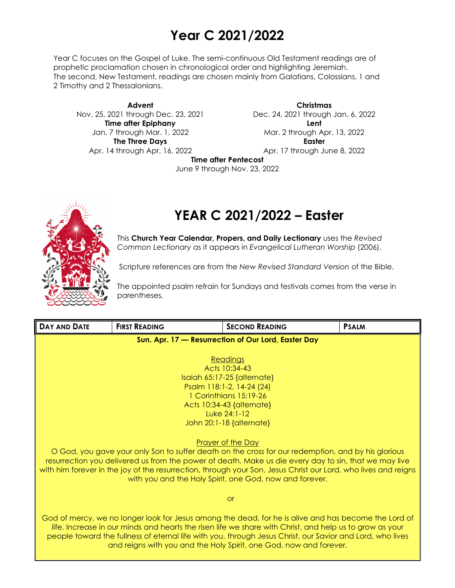# **Year C 2021/2022**

Year C focuses on the Gospel of Luke. The semi-continuous Old Testament readings are of prophetic proclamation chosen in chronological order and highlighting Jeremiah. The second, New Testament, readings are chosen mainly from Galatians, Colossians, 1 and 2 Timothy and 2 Thessalonians.

**Advent** Nov. 25, 2021 through Dec. 23, 2021 **Time after Epiphany** Jan. 7 through Mar. 1, 2022 **The Three Days** Apr. 14 through Apr. 16, 2022

**Christmas** Dec. 24, 2021 through Jan. 6, 2022 **Lent** Mar. 2 through Apr. 13, 2022 **Easter** Apr. 17 through June 8, 2022

**Time after Pentecost**

June 9 through Nov. 23, 2022



# **YEAR C 2021/2022 – Easter**

This **Church Year Calendar, Propers, and Daily Lectionary** uses the *Revised Common Lectionary* as it appears in *Evangelical Lutheran Worship* (2006).

Scripture references are from the *New Revised Standard Version* of the Bible.

The appointed psalm refrain for Sundays and festivals comes from the verse in parentheses.

| DAY AND DATE                                                                                            | <b>FIRST READING</b>                                                                                                                                                            | <b>SECOND READING</b>                                                                                                                                                                                       | <b>PSALM</b> |  |  |
|---------------------------------------------------------------------------------------------------------|---------------------------------------------------------------------------------------------------------------------------------------------------------------------------------|-------------------------------------------------------------------------------------------------------------------------------------------------------------------------------------------------------------|--------------|--|--|
|                                                                                                         |                                                                                                                                                                                 | Sun. Apr. 17 - Resurrection of Our Lord, Easter Day                                                                                                                                                         |              |  |  |
|                                                                                                         |                                                                                                                                                                                 |                                                                                                                                                                                                             |              |  |  |
|                                                                                                         |                                                                                                                                                                                 | <b>Readings</b><br>Acts 10:34-43                                                                                                                                                                            |              |  |  |
|                                                                                                         |                                                                                                                                                                                 | $Isa$ ich 65:17-25 {alternate}                                                                                                                                                                              |              |  |  |
|                                                                                                         |                                                                                                                                                                                 | Psalm 118:1-2, 14-24 (24)                                                                                                                                                                                   |              |  |  |
|                                                                                                         |                                                                                                                                                                                 | 1 Corinthians 15:19-26                                                                                                                                                                                      |              |  |  |
|                                                                                                         |                                                                                                                                                                                 | Acts 10:34-43 {alternate}<br>Luke 24:1-12                                                                                                                                                                   |              |  |  |
|                                                                                                         | John $20:1-18$ {alternate}                                                                                                                                                      |                                                                                                                                                                                                             |              |  |  |
|                                                                                                         |                                                                                                                                                                                 |                                                                                                                                                                                                             |              |  |  |
|                                                                                                         |                                                                                                                                                                                 | <b>Prayer of the Day</b>                                                                                                                                                                                    |              |  |  |
|                                                                                                         |                                                                                                                                                                                 | O God, you gave your only Son to suffer death on the cross for our redemption, and by his glorious<br>resurrection you delivered us from the power of death. Make us die every day to sin, that we may live |              |  |  |
|                                                                                                         |                                                                                                                                                                                 | with him forever in the joy of the resurrection, through your Son, Jesus Christ our Lord, who lives and reigns                                                                                              |              |  |  |
| with you and the Holy Spirit, one God, now and forever.                                                 |                                                                                                                                                                                 |                                                                                                                                                                                                             |              |  |  |
|                                                                                                         |                                                                                                                                                                                 |                                                                                                                                                                                                             |              |  |  |
| <b>or</b>                                                                                               |                                                                                                                                                                                 |                                                                                                                                                                                                             |              |  |  |
| God of mercy, we no longer look for Jesus among the dead, for he is alive and has become the Lord of    |                                                                                                                                                                                 |                                                                                                                                                                                                             |              |  |  |
| life. Increase in our minds and hearts the risen life we share with Christ, and help us to grow as your |                                                                                                                                                                                 |                                                                                                                                                                                                             |              |  |  |
|                                                                                                         | people toward the fullness of eternal life with you, through Jesus Christ, our Savior and Lord, who lives<br>and reigns with you and the Holy Spirit, one God, now and forever. |                                                                                                                                                                                                             |              |  |  |
|                                                                                                         |                                                                                                                                                                                 |                                                                                                                                                                                                             |              |  |  |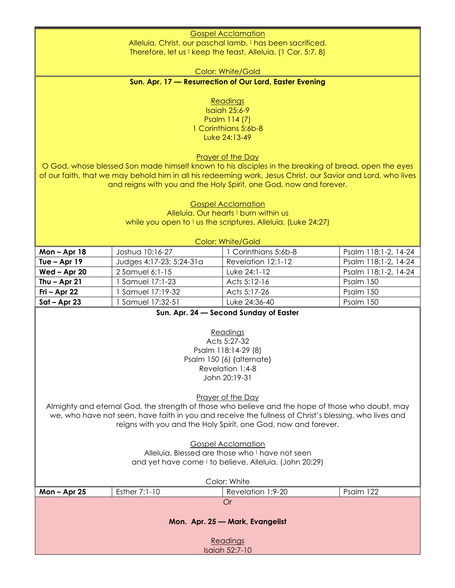Gospel Acclamation Alleluia. Christ, our paschal lamb, I has been sacrificed.

Therefore, let us I keep the feast. Alleluia. (1 Cor. 5:7, 8)

Color: White/Gold

**Sun. Apr. 17 — Resurrection of Our Lord, Easter Evening**

**Readings** 

Isaiah 25:6-9 Psalm 114 (7) 1 Corinthians 5:6b-8 Luke 24:13-49

Prayer of the Day

O God, whose blessed Son made himself known to his disciples in the breaking of bread, open the eyes of our faith, that we may behold him in all his redeeming work, Jesus Christ, our Savior and Lord, who lives and reigns with you and the Holy Spirit, one God, now and forever.

> Gospel Acclamation Alleluia. Our hearts I burn within us while you open to  $\vdash$  us the scriptures. Alleluia. (Luke 24:27)

| Color: White/Gold |                          |                      |                      |  |
|-------------------|--------------------------|----------------------|----------------------|--|
| Mon $-$ Apr 18    | Joshua 10:16-27          | 1 Corinthians 5:6b-8 | Psalm 118:1-2, 14-24 |  |
| Tue $-$ Apr 19    | Judges 4:17-23; 5:24-31a | Revelation 12:1-12   | Psalm 118:1-2, 14-24 |  |
| Wed - Apr 20      | 2 Samuel 6:1-15          | Luke 24:1-12         | Psalm 118:1-2, 14-24 |  |
| Thu $-$ Apr 21    | Samuel 17:1-23           | Acts 5:12-16         | Psalm 150            |  |
| $Fi - Apr 22$     | Samuel 17:19-32          | Acts 5:17-26         | Psalm 150            |  |
| $Sat - Apr 23$    | Samuel 17:32-51          | Luke 24:36-40        | Psalm 150            |  |

**Sun. Apr. 24 — Second Sunday of Easter**

Readings Acts 5:27-32 Psalm 118:14-29 (8) Psalm 150 (6) {alternate} Revelation 1:4-8 John 20:19-31

Prayer of the Day

Almighty and eternal God, the strength of those who believe and the hope of those who doubt, may we, who have not seen, have faith in you and receive the fullness of Christ's blessing, who lives and reigns with you and the Holy Spirit, one God, now and forever.

> Gospel Acclamation Alleluia. Blessed are those who I have not seen and yet have come I to believe. Alleluia. (John 20:29)

| Color: White                    |                 |                   |           |  |
|---------------------------------|-----------------|-------------------|-----------|--|
| Mon $-$ Apr 25                  | Esther $7:1-10$ | Revelation 1:9-20 | Psalm 122 |  |
|                                 |                 | Or                |           |  |
| Mon. Apr. 25 - Mark, Evangelist |                 |                   |           |  |
| Readings<br>Isaiah 52:7-10      |                 |                   |           |  |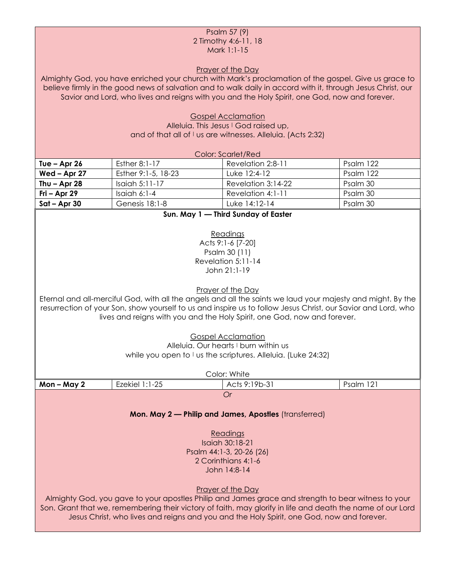## Psalm 57 (9) 2 Timothy 4:6-11, 18 Mark 1:1-15

Prayer of the Day

Almighty God, you have enriched your church with Mark's proclamation of the gospel. Give us grace to believe firmly in the good news of salvation and to walk daily in accord with it, through Jesus Christ, our Savior and Lord, who lives and reigns with you and the Holy Spirit, one God, now and forever.

> Gospel Acclamation Alleluia. This Jesus I God raised up, and of that all of I us are witnesses. Alleluia. (Acts 2:32)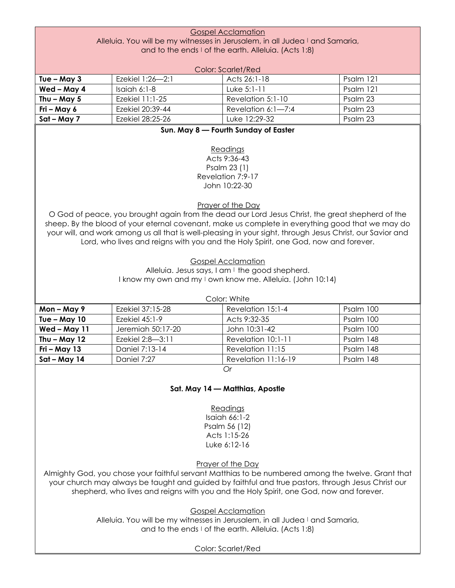|                                                                              | <b>Gospel Acclamation</b> |                                                                                                                                                                                                      |           |  |
|------------------------------------------------------------------------------|---------------------------|------------------------------------------------------------------------------------------------------------------------------------------------------------------------------------------------------|-----------|--|
| Alleluia. You will be my witnesses in Jerusalem, in all Judea I and Samaria, |                           |                                                                                                                                                                                                      |           |  |
|                                                                              |                           | and to the ends I of the earth. Alleluia. (Acts 1:8)                                                                                                                                                 |           |  |
|                                                                              |                           | <b>Color: Scarlet/Red</b>                                                                                                                                                                            |           |  |
| Tue $-$ May 3                                                                | Ezekiel 1:26-2:1          | Acts 26:1-18                                                                                                                                                                                         | Psalm 121 |  |
| Wed - May 4                                                                  | Isaiah 6:1-8              | Luke 5:1-11                                                                                                                                                                                          | Psalm 121 |  |
| Thu $-$ May 5                                                                | Ezekiel 11:1-25           | Revelation 5:1-10                                                                                                                                                                                    | Psalm 23  |  |
| Fri - May 6                                                                  | Ezekiel 20:39-44          | Revelation 6:1-7:4                                                                                                                                                                                   | Psalm 23  |  |
| Sat - May 7                                                                  | Ezekiel 28:25-26          | Luke 12:29-32                                                                                                                                                                                        | Psalm 23  |  |
|                                                                              |                           | Sun. May 8 - Fourth Sunday of Easter                                                                                                                                                                 |           |  |
|                                                                              |                           |                                                                                                                                                                                                      |           |  |
|                                                                              |                           | Readings                                                                                                                                                                                             |           |  |
|                                                                              |                           | Acts 9:36-43                                                                                                                                                                                         |           |  |
|                                                                              |                           | Psalm 23 (1)                                                                                                                                                                                         |           |  |
|                                                                              |                           | Revelation 7:9-17                                                                                                                                                                                    |           |  |
|                                                                              |                           | John 10:22-30                                                                                                                                                                                        |           |  |
|                                                                              |                           |                                                                                                                                                                                                      |           |  |
|                                                                              |                           | Prayer of the Day                                                                                                                                                                                    |           |  |
|                                                                              |                           | O God of peace, you brought again from the dead our Lord Jesus Christ, the great shepherd of the<br>sheep. By the blood of your eternal covenant, make us complete in everything good that we may do |           |  |
|                                                                              |                           | your will, and work among us all that is well-pleasing in your sight, through Jesus Christ, our Savior and                                                                                           |           |  |
|                                                                              |                           | Lord, who lives and reigns with you and the Holy Spirit, one God, now and forever.                                                                                                                   |           |  |
|                                                                              |                           |                                                                                                                                                                                                      |           |  |
|                                                                              |                           | <b>Gospel Acclamation</b>                                                                                                                                                                            |           |  |
| Alleluia. Jesus says, I am I the good shepherd.                              |                           |                                                                                                                                                                                                      |           |  |
| I know my own and my I own know me. Alleluia. (John 10:14)                   |                           |                                                                                                                                                                                                      |           |  |
|                                                                              |                           |                                                                                                                                                                                                      |           |  |
|                                                                              |                           |                                                                                                                                                                                                      |           |  |
|                                                                              |                           | Color: White                                                                                                                                                                                         |           |  |
| Mon-May 9                                                                    | Ezekiel 37:15-28          | Revelation 15:1-4                                                                                                                                                                                    | Psalm 100 |  |
| Tue $-$ May 10                                                               | Ezekiel 45:1-9            | Acts 9:32-35                                                                                                                                                                                         | Psalm 100 |  |
| Wed-May 11                                                                   | Jeremiah 50:17-20         | John 10:31-42                                                                                                                                                                                        | Psalm 100 |  |
| Thu $-$ May 12                                                               | Ezekiel 2:8-3:11          | Revelation 10:1-11                                                                                                                                                                                   | Psalm 148 |  |
| $Fri - May 13$                                                               | Daniel 7:13-14            | Revelation 11:15                                                                                                                                                                                     | Psalm 148 |  |
| Sat - May 14                                                                 | Daniel 7:27               | Revelation 11:16-19                                                                                                                                                                                  | Psalm 148 |  |
|                                                                              |                           | Or                                                                                                                                                                                                   |           |  |
|                                                                              |                           |                                                                                                                                                                                                      |           |  |
|                                                                              |                           | Sat. May 14 - Matthias, Apostle                                                                                                                                                                      |           |  |
|                                                                              |                           |                                                                                                                                                                                                      |           |  |
|                                                                              |                           | Readings                                                                                                                                                                                             |           |  |
|                                                                              |                           | Isaiah 66:1-2                                                                                                                                                                                        |           |  |
|                                                                              |                           | Psalm 56 (12)<br>Acts 1:15-26                                                                                                                                                                        |           |  |
|                                                                              |                           | Luke 6:12-16                                                                                                                                                                                         |           |  |
|                                                                              |                           |                                                                                                                                                                                                      |           |  |
|                                                                              |                           | Prayer of the Day                                                                                                                                                                                    |           |  |
|                                                                              |                           | Almighty God, you chose your faithful servant Matthias to be numbered among the twelve. Grant that                                                                                                   |           |  |
|                                                                              |                           | your church may always be taught and guided by faithful and true pastors, through Jesus Christ our                                                                                                   |           |  |
|                                                                              |                           | shepherd, who lives and reigns with you and the Holy Spirit, one God, now and forever.                                                                                                               |           |  |
|                                                                              |                           |                                                                                                                                                                                                      |           |  |
|                                                                              |                           | <b>Gospel Acclamation</b>                                                                                                                                                                            |           |  |
|                                                                              |                           | Alleluia. You will be my witnesses in Jerusalem, in all Judea I and Samaria,<br>and to the ends I of the earth. Alleluia. (Acts 1:8)                                                                 |           |  |

Color: Scarlet/Red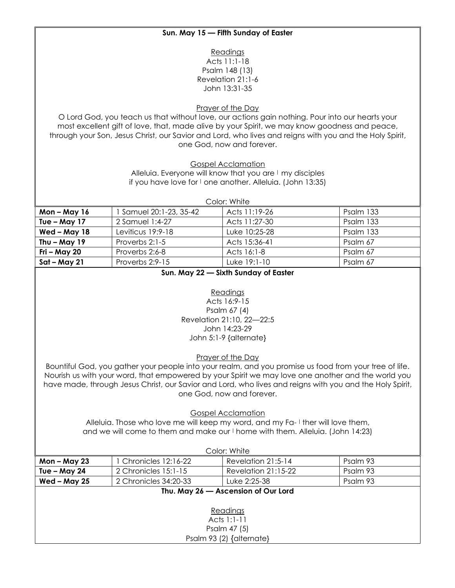# **Sun. May 15 — Fifth Sunday of Easter**

Readings Acts 11:1-18 Psalm 148 (13) Revelation 21:1-6 John 13:31-35

Prayer of the Day

O Lord God, you teach us that without love, our actions gain nothing. Pour into our hearts your most excellent gift of love, that, made alive by your Spirit, we may know goodness and peace, through your Son, Jesus Christ, our Savior and Lord, who lives and reigns with you and the Holy Spirit, one God, now and forever.

Gospel Acclamation

Alleluia. Everyone will know that you are I my disciples if you have love for I one another. Alleluia. (John 13:35)

| Color: White   |                       |               |           |  |
|----------------|-----------------------|---------------|-----------|--|
| Mon-May 16     | Samuel 20:1-23, 35-42 | Acts 11:19-26 | Psalm 133 |  |
| Tue $-$ May 17 | 2 Samuel 1:4-27       | Acts 11:27-30 | Psalm 133 |  |
| Wed - May 18   | Leviticus 19:9-18     | Luke 10:25-28 | Psalm 133 |  |
| Thu $-$ May 19 | Proverbs 2:1-5        | Acts 15:36-41 | Psalm 67  |  |
| Fri – May 20   | Proverbs 2:6-8        | Acts 16:1-8   | Psalm 67  |  |
| Sat – May 21   | Proverbs 2:9-15       | Luke 19:1-10  | Psalm 67  |  |

## **Sun. May 22 — Sixth Sunday of Easter**

#### Readings

Acts 16:9-15 Psalm 67 (4) Revelation 21:10, 22—22:5 John 14:23-29 John 5:1-9 {alternate}

Prayer of the Day

Bountiful God, you gather your people into your realm, and you promise us food from your tree of life. Nourish us with your word, that empowered by your Spirit we may love one another and the world you have made, through Jesus Christ, our Savior and Lord, who lives and reigns with you and the Holy Spirit, one God, now and forever.

Gospel Acclamation

Alleluia. Those who love me will keep my word, and my Fa- I ther will love them, and we will come to them and make our I home with them. Alleluia. (John 14:23)

| Color: White                        |                       |                       |          |  |
|-------------------------------------|-----------------------|-----------------------|----------|--|
| Mon – May 23                        | 1 Chronicles 12:16-22 | Revelation 21:5-14    | Psalm 93 |  |
| Tue - May 24                        | 2 Chronicles 15:1-15  | Revelation $21:15-22$ | Psalm 93 |  |
| Wed $-$ May 25                      | 2 Chronicles 34:20-33 | Luke 2:25-38          | Psalm 93 |  |
| Thu. May 26 - Ascension of Our Lord |                       |                       |          |  |
| Readings<br>Acts $1:1-11$           |                       |                       |          |  |
| Psalm 47 (5)                        |                       |                       |          |  |
| Psalm 93 (2) {alternate}            |                       |                       |          |  |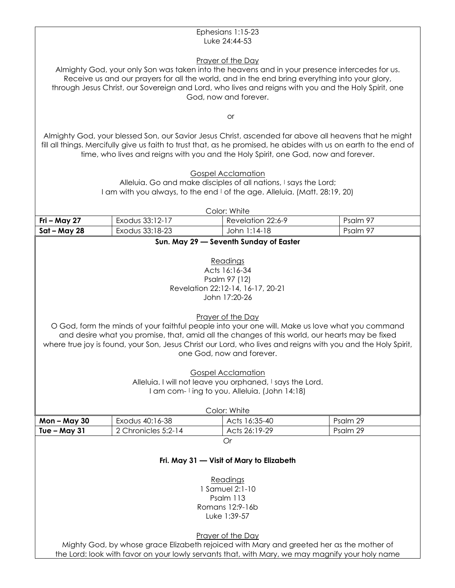#### Ephesians 1:15-23 Luke 24:44-53

## Prayer of the Day

Almighty God, your only Son was taken into the heavens and in your presence intercedes for us. Receive us and our prayers for all the world, and in the end bring everything into your glory, through Jesus Christ, our Sovereign and Lord, who lives and reigns with you and the Holy Spirit, one God, now and forever.

or

Almighty God, your blessed Son, our Savior Jesus Christ, ascended far above all heavens that he might fill all things. Mercifully give us faith to trust that, as he promised, he abides with us on earth to the end of time, who lives and reigns with you and the Holy Spirit, one God, now and forever.

> Gospel Acclamation Alleluia. Go and make disciples of all nations, I says the Lord; I am with you always, to the end I of the age. Alleluia. (Matt. 28:19, 20)

> > Color: White

| _ _ _ _ _ _ _ _ _ _ _ _ _ _ |                 |                   |          |
|-----------------------------|-----------------|-------------------|----------|
| Fri – May 27                | Exodus 33:12-17 | Revelation 22:6-9 | Psalm 97 |
| Sat – May 28                | Exodus 33:18-23 | . 1:14-18<br>John | Psalm 97 |

## **Sun. May 29 — Seventh Sunday of Easter**

Readings Acts 16:16-34 Psalm 97 (12) Revelation 22:12-14, 16-17, 20-21 John 17:20-26

Prayer of the Day

O God, form the minds of your faithful people into your one will. Make us love what you command and desire what you promise, that, amid all the changes of this world, our hearts may be fixed where true joy is found, your Son, Jesus Christ our Lord, who lives and reigns with you and the Holy Spirit, one God, now and forever.

> Gospel Acclamation Alleluia. I will not leave you orphaned, I says the Lord. I am com- I ing to you. Alleluia. (John 14:18)

| Color: White                                                       |  |  |  |  |  |
|--------------------------------------------------------------------|--|--|--|--|--|
| Acts 16:35-40<br>Exodus 40:16-38<br>Psalm 29<br>Mon – May 30       |  |  |  |  |  |
| Acts 26:19-29<br>Psalm 29<br>2 Chronicles 5:2-14<br>  Tue – May 31 |  |  |  |  |  |
|                                                                    |  |  |  |  |  |

## **Fri. May 31 — Visit of Mary to Elizabeth**

Readings 1 Samuel 2:1-10 Psalm 113 Romans 12:9-16b Luke 1:39-57

Prayer of the Day

Mighty God, by whose grace Elizabeth rejoiced with Mary and greeted her as the mother of the Lord: look with favor on your lowly servants that, with Mary, we may magnify your holy name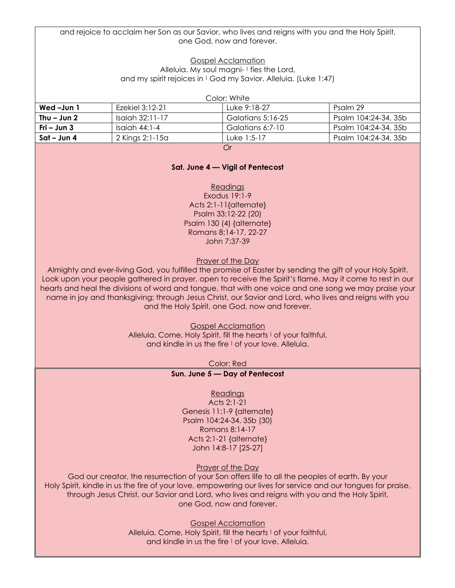and rejoice to acclaim her Son as our Savior, who lives and reigns with you and the Holy Spirit, one God, now and forever.

## Gospel Acclamation

Alleluia. My soul magni- I fies the Lord, and my spirit rejoices in I God my Savior. Alleluia. (Luke 1:47)

Color: White

| Wed-Jun 1     | Ezekiel 3:12-21    | Luke 9:18-27      | Psalm 29             |
|---------------|--------------------|-------------------|----------------------|
| Thu $-$ Jun 2 | $Isai0th 32:11-17$ | Galatians 5:16-25 | Psalm 104:24-34, 35b |
| Fri – Jun $3$ | - Isaiah 44:1-4    | Galatians 6:7-10  | Psalm 104:24-34, 35b |
| Sat – Jun 4   | 2 Kings 2:1-15a    | Luke 1:5-17       | Psalm 104:24-34, 35b |
|               |                    | $\sim$            |                      |

*Or*

## **Sat. June 4 — Vigil of Pentecost**

**Readings** Exodus 19:1-9 Acts 2:1-11{alternate} Psalm 33:12-22 (20) Psalm 130 (4) {alternate} Romans 8:14-17, 22-27 John 7:37-39

Prayer of the Day

Almighty and ever-living God, you fulfilled the promise of Easter by sending the gift of your Holy Spirit. Look upon your people gathered in prayer, open to receive the Spirit's flame. May it come to rest in our hearts and heal the divisions of word and tongue, that with one voice and one song we may praise your name in joy and thanksgiving; through Jesus Christ, our Savior and Lord, who lives and reigns with you and the Holy Spirit, one God, now and forever.

Gospel Acclamation

Alleluia. Come, Holy Spirit, fill the hearts I of your faithful, and kindle in us the fire I of your love. Alleluia.

Color: Red

#### **Sun. June 5 — Day of Pentecost**

#### Readings

Acts 2:1-21 Genesis 11:1-9 {alternate} Psalm 104:24-34, 35b (30) Romans 8:14-17 Acts 2:1-21 {alternate} John 14:8-17 [25-27]

#### Prayer of the Day

God our creator, the resurrection of your Son offers life to all the peoples of earth. By your Holy Spirit, kindle in us the fire of your love, empowering our lives for service and our tongues for praise, through Jesus Christ, our Savior and Lord, who lives and reigns with you and the Holy Spirit, one God, now and forever.

Gospel Acclamation

Alleluia. Come, Holy Spirit, fill the hearts I of your faithful, and kindle in us the fire I of your love. Alleluia.